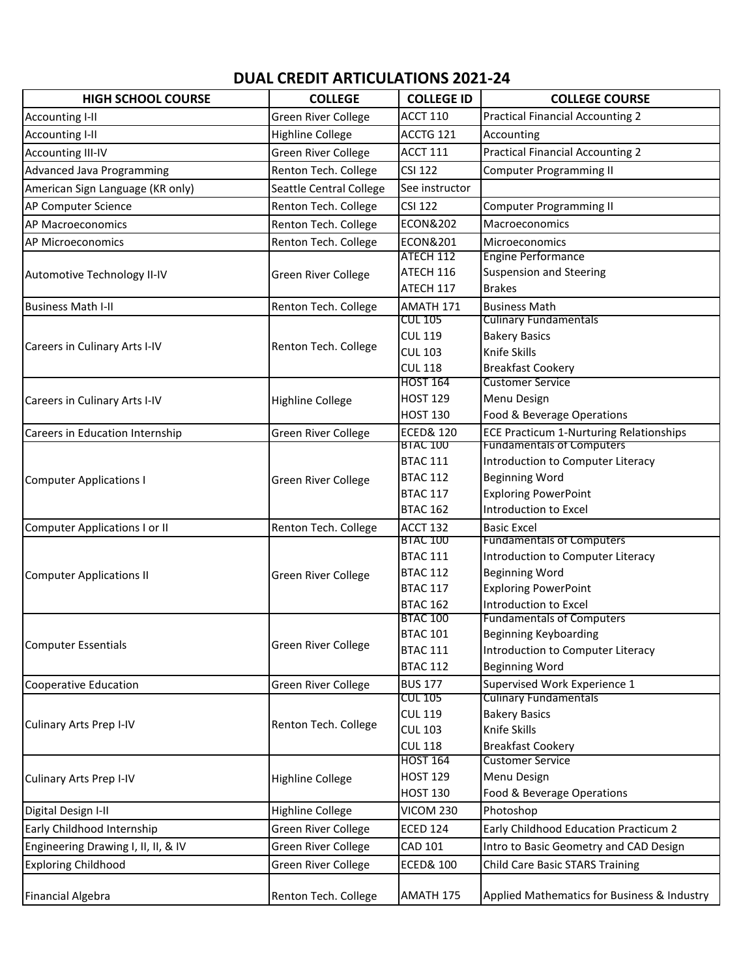## **DUAL CREDIT ARTICULATIONS 2021-24**

| <b>HIGH SCHOOL COURSE</b>           | <b>COLLEGE</b>                                  | <b>COLLEGE ID</b>                  | <b>COLLEGE COURSE</b>                                        |
|-------------------------------------|-------------------------------------------------|------------------------------------|--------------------------------------------------------------|
| Accounting I-II                     | Green River College                             | <b>ACCT 110</b>                    | <b>Practical Financial Accounting 2</b>                      |
| <b>Accounting I-II</b>              | <b>Highline College</b>                         | ACCTG 121                          | Accounting                                                   |
| <b>Accounting III-IV</b>            | Green River College                             | <b>ACCT 111</b>                    | <b>Practical Financial Accounting 2</b>                      |
| <b>Advanced Java Programming</b>    | Renton Tech. College                            | <b>CSI 122</b>                     | <b>Computer Programming II</b>                               |
| American Sign Language (KR only)    | Seattle Central College                         | See instructor                     |                                                              |
| AP Computer Science                 | Renton Tech. College                            | <b>CSI 122</b>                     | <b>Computer Programming II</b>                               |
| AP Macroeconomics                   | Renton Tech. College                            | <b>ECON&amp;202</b>                | Macroeconomics                                               |
| <b>AP Microeconomics</b>            | Renton Tech. College                            | <b>ECON&amp;201</b>                | Microeconomics                                               |
| Automotive Technology II-IV         | Green River College                             | ATECH 112                          | <b>Engine Performance</b>                                    |
|                                     |                                                 | ATECH 116                          | <b>Suspension and Steering</b>                               |
|                                     |                                                 | ATECH 117                          | <b>Brakes</b>                                                |
| <b>Business Math I-II</b>           | Renton Tech. College                            | AMATH 171                          | <b>Business Math</b>                                         |
|                                     | Renton Tech. College                            | <b>CUL 105</b>                     | <b>Culinary Fundamentals</b>                                 |
|                                     |                                                 | <b>CUL 119</b>                     | <b>Bakery Basics</b>                                         |
| Careers in Culinary Arts I-IV       |                                                 | <b>CUL 103</b>                     | Knife Skills                                                 |
|                                     |                                                 | <b>CUL 118</b>                     | <b>Breakfast Cookery</b>                                     |
|                                     | <b>Highline College</b>                         | <b>HOST 164</b>                    | <b>Customer Service</b>                                      |
| Careers in Culinary Arts I-IV       |                                                 | <b>HOST 129</b>                    | Menu Design                                                  |
|                                     |                                                 | <b>HOST 130</b>                    | Food & Beverage Operations                                   |
| Careers in Education Internship     | Green River College                             | <b>ECED&amp; 120</b>               | <b>ECE Practicum 1-Nurturing Relationships</b>               |
|                                     | Green River College                             | <b>BIAC 100</b>                    | <b>Fundamentals of Computers</b>                             |
|                                     |                                                 | <b>BTAC 111</b>                    | Introduction to Computer Literacy                            |
| <b>Computer Applications I</b>      |                                                 | <b>BTAC 112</b>                    | <b>Beginning Word</b>                                        |
|                                     |                                                 | <b>BTAC 117</b>                    | <b>Exploring PowerPoint</b>                                  |
|                                     |                                                 | <b>BTAC 162</b>                    | Introduction to Excel                                        |
| Computer Applications I or II       | Renton Tech. College                            | ACCT 132                           | <b>Basic Excel</b>                                           |
|                                     | Green River College                             | <b>BTAC 100</b>                    | <b>Fundamentals of Computers</b>                             |
|                                     |                                                 | <b>BTAC 111</b>                    | Introduction to Computer Literacy                            |
| <b>Computer Applications II</b>     |                                                 | <b>BTAC 112</b>                    | <b>Beginning Word</b>                                        |
|                                     |                                                 | <b>BTAC 117</b>                    | <b>Exploring PowerPoint</b>                                  |
|                                     |                                                 | <b>BTAC 162</b><br><b>BTAC 100</b> | Introduction to Excel<br><b>Fundamentals of Computers</b>    |
| <b>Computer Essentials</b>          | Green River College                             | <b>BTAC 101</b>                    | Beginning Keyboarding                                        |
|                                     |                                                 | <b>BTAC 111</b>                    | Introduction to Computer Literacy                            |
|                                     |                                                 | <b>BTAC 112</b>                    | <b>Beginning Word</b>                                        |
|                                     |                                                 |                                    |                                                              |
| <b>Cooperative Education</b>        | Green River College                             | <b>BUS 177</b><br>CUL 105          | Supervised Work Experience 1<br><b>Culinary Fundamentals</b> |
|                                     | Renton Tech. College<br><b>Highline College</b> | <b>CUL 119</b>                     | <b>Bakery Basics</b>                                         |
| Culinary Arts Prep I-IV             |                                                 | <b>CUL 103</b>                     | Knife Skills                                                 |
| Culinary Arts Prep I-IV             |                                                 | <b>CUL 118</b>                     | <b>Breakfast Cookery</b>                                     |
|                                     |                                                 | <b>HOST 164</b>                    | <b>Customer Service</b>                                      |
|                                     |                                                 | <b>HOST 129</b>                    | Menu Design                                                  |
|                                     |                                                 | <b>HOST 130</b>                    | Food & Beverage Operations                                   |
| Digital Design I-II                 | Highline College                                | <b>VICOM 230</b>                   | Photoshop                                                    |
|                                     |                                                 |                                    |                                                              |
| Early Childhood Internship          | Green River College                             | <b>ECED 124</b>                    | Early Childhood Education Practicum 2                        |
| Engineering Drawing I, II, II, & IV | Green River College                             | CAD 101                            | Intro to Basic Geometry and CAD Design                       |
| <b>Exploring Childhood</b>          | Green River College                             | <b>ECED&amp; 100</b>               | <b>Child Care Basic STARS Training</b>                       |
| <b>Financial Algebra</b>            | Renton Tech. College                            | AMATH 175                          | Applied Mathematics for Business & Industry                  |